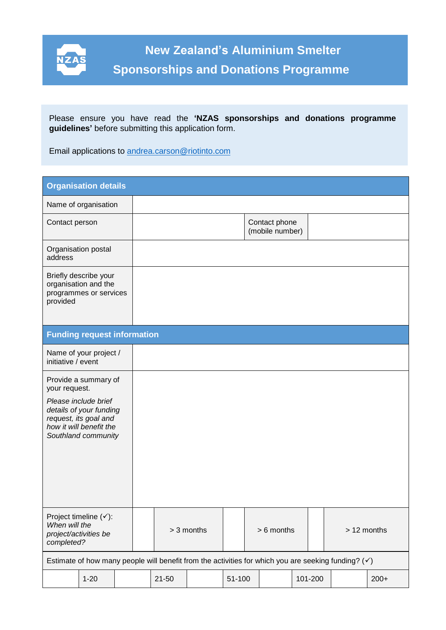

 **Application Format Application** 

Please ensure you have read the **'NZAS sponsorships and donations programme guidelines'** before submitting this application form.

Email applications to [andrea.carson@riotinto.com](mailto:andrea.carson@riotinto.com)

| <b>Organisation details</b>                                                                                                |                                                                         |  |              |           |  |              |  |                                  |             |  |        |
|----------------------------------------------------------------------------------------------------------------------------|-------------------------------------------------------------------------|--|--------------|-----------|--|--------------|--|----------------------------------|-------------|--|--------|
|                                                                                                                            | Name of organisation                                                    |  |              |           |  |              |  |                                  |             |  |        |
| Contact person                                                                                                             |                                                                         |  |              |           |  |              |  | Contact phone<br>(mobile number) |             |  |        |
| address                                                                                                                    | Organisation postal                                                     |  |              |           |  |              |  |                                  |             |  |        |
| provided                                                                                                                   | Briefly describe your<br>organisation and the<br>programmes or services |  |              |           |  |              |  |                                  |             |  |        |
| <b>Funding request information</b>                                                                                         |                                                                         |  |              |           |  |              |  |                                  |             |  |        |
| Name of your project /<br>initiative / event                                                                               |                                                                         |  |              |           |  |              |  |                                  |             |  |        |
| Provide a summary of<br>your request.                                                                                      |                                                                         |  |              |           |  |              |  |                                  |             |  |        |
| Please include brief<br>details of your funding<br>request, its goal and<br>how it will benefit the<br>Southland community |                                                                         |  |              |           |  |              |  |                                  |             |  |        |
| Project timeline $(\checkmark)$ :<br>When will the<br>project/activities be<br>completed?                                  |                                                                         |  | $> 3$ months |           |  | $> 6$ months |  |                                  | > 12 months |  |        |
| Estimate of how many people will benefit from the activities for which you are seeking funding? $(\checkmark)$             |                                                                         |  |              |           |  |              |  |                                  |             |  |        |
|                                                                                                                            | $1 - 20$                                                                |  |              | $21 - 50$ |  | 51-100       |  |                                  | 101-200     |  | $200+$ |